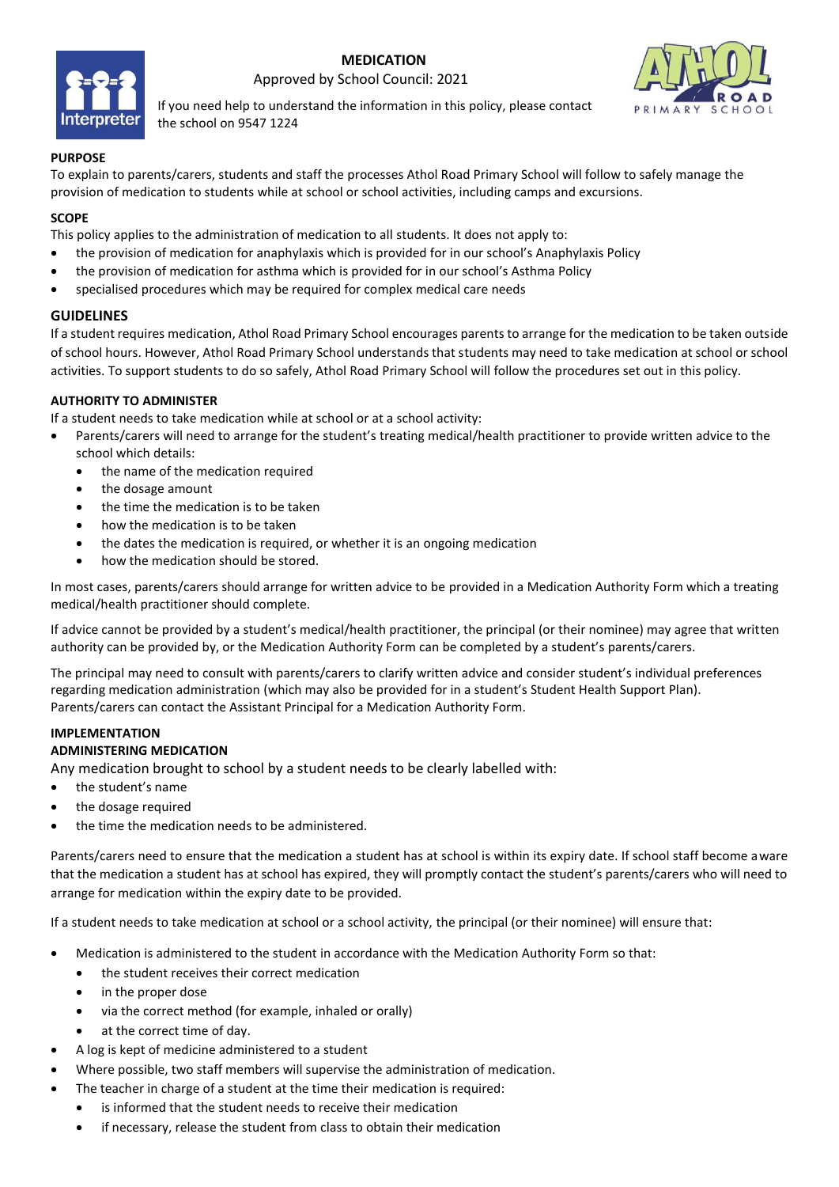

 **MEDICATION** Approved by School Council: 2021



If you need help to understand the information in this policy, please contact the school on 9547 1224

#### **PURPOSE**

To explain to parents/carers, students and staff the processes Athol Road Primary School will follow to safely manage the provision of medication to students while at school or school activities, including camps and excursions.

### **SCOPE**

This policy applies to the administration of medication to all students. It does not apply to:

- the provision of medication for anaphylaxis which is provided for in our school's Anaphylaxis Policy
- the provision of medication for asthma which is provided for in our school's Asthma Policy
- specialised procedures which may be required for complex medical care needs

## **GUIDELINES**

If a student requires medication, Athol Road Primary School encourages parents to arrange for the medication to be taken outside of school hours. However, Athol Road Primary School understands that students may need to take medication at school or school activities. To support students to do so safely, Athol Road Primary School will follow the procedures set out in this policy.

## **AUTHORITY TO ADMINISTER**

If a student needs to take medication while at school or at a school activity:

- Parents/carers will need to arrange for the student's treating medical/health practitioner to provide written advice to the school which details:
	- the name of the medication required
	- the dosage amount
	- the time the medication is to be taken
	- how the medication is to be taken
	- the dates the medication is required, or whether it is an ongoing medication
	- how the medication should be stored.

In most cases, parents/carers should arrange for written advice to be provided in a Medication Authority Form which a treating medical/health practitioner should complete.

If advice cannot be provided by a student's medical/health practitioner, the principal (or their nominee) may agree that written authority can be provided by, or the Medication Authority Form can be completed by a student's parents/carers.

The principal may need to consult with parents/carers to clarify written advice and consider student's individual preferences regarding medication administration (which may also be provided for in a student's Student Health Support Plan). Parents/carers can contact the Assistant Principal for a Medication Authority Form.

# **IMPLEMENTATION**

## **ADMINISTERING MEDICATION**

Any medication brought to school by a student needs to be clearly labelled with:

- the student's name
- the dosage required
- the time the medication needs to be administered.

Parents/carers need to ensure that the medication a student has at school is within its expiry date. If school staff become aware that the medication a student has at school has expired, they will promptly contact the student's parents/carers who will need to arrange for medication within the expiry date to be provided.

If a student needs to take medication at school or a school activity, the principal (or their nominee) will ensure that:

- Medication is administered to the student in accordance with the Medication Authority Form so that:
	- the student receives their correct medication
	- in the proper dose
	- via the correct method (for example, inhaled or orally)
	- at the correct time of day.
- A log is kept of medicine administered to a student
- Where possible, two staff members will supervise the administration of medication.
	- The teacher in charge of a student at the time their medication is required:
	- is informed that the student needs to receive their medication
	- if necessary, release the student from class to obtain their medication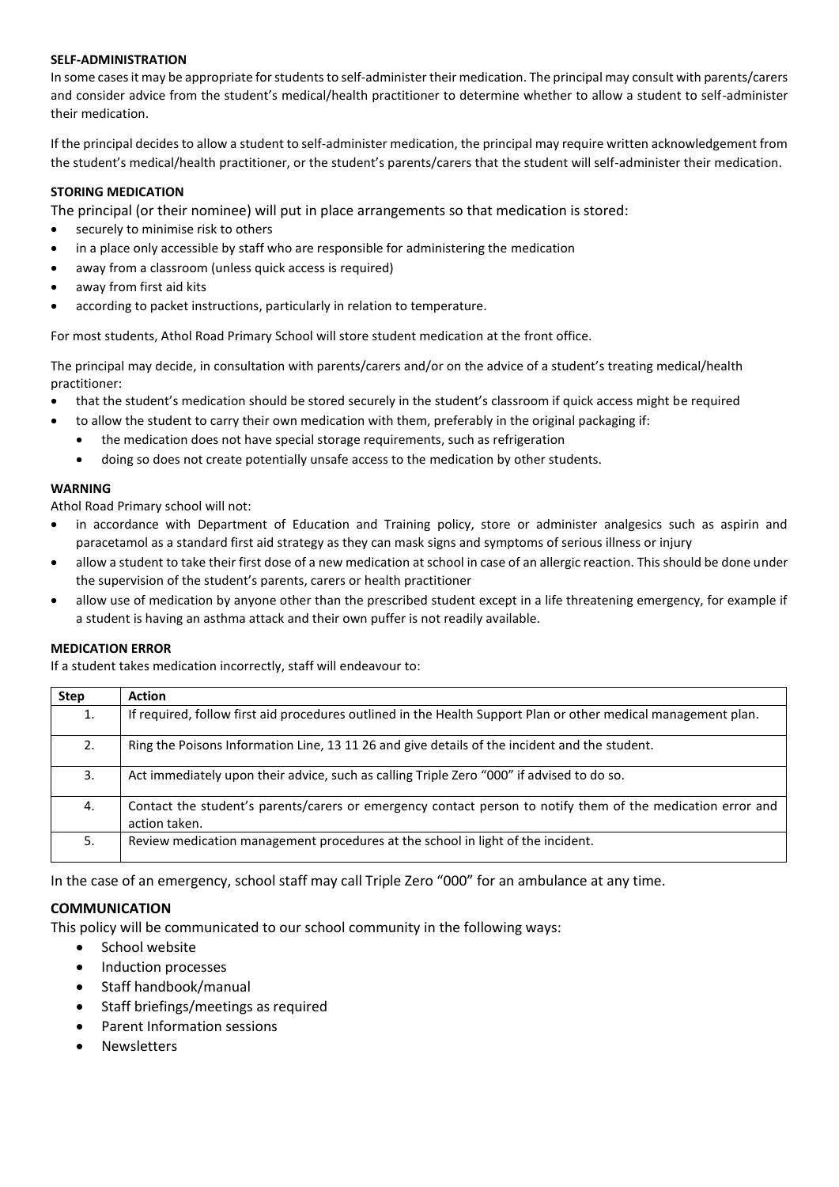#### **SELF-ADMINISTRATION**

In some casesit may be appropriate for students to self-administer their medication. The principal may consult with parents/carers and consider advice from the student's medical/health practitioner to determine whether to allow a student to self-administer their medication.

If the principal decides to allow a student to self-administer medication, the principal may require written acknowledgement from the student's medical/health practitioner, or the student's parents/carers that the student will self-administer their medication.

#### **STORING MEDICATION**

The principal (or their nominee) will put in place arrangements so that medication is stored:

- securely to minimise risk to others
- in a place only accessible by staff who are responsible for administering the medication
- away from a classroom (unless quick access is required)
- away from first aid kits
- according to packet instructions, particularly in relation to temperature.

For most students, Athol Road Primary School will store student medication at the front office.

The principal may decide, in consultation with parents/carers and/or on the advice of a student's treating medical/health practitioner:

- that the student's medication should be stored securely in the student's classroom if quick access might be required
- to allow the student to carry their own medication with them, preferably in the original packaging if:
	- the medication does not have special storage requirements, such as refrigeration
	- doing so does not create potentially unsafe access to the medication by other students.

#### **WARNING**

Athol Road Primary school will not:

- in accordance with Department of Education and Training policy, store or administer analgesics such as aspirin and paracetamol as a standard first aid strategy as they can mask signs and symptoms of serious illness or injury
- allow a student to take their first dose of a new medication at school in case of an allergic reaction. This should be done under the supervision of the student's parents, carers or health practitioner
- allow use of medication by anyone other than the prescribed student except in a life threatening emergency, for example if a student is having an asthma attack and their own puffer is not readily available.

#### **MEDICATION ERROR**

If a student takes medication incorrectly, staff will endeavour to:

| <b>Step</b> | <b>Action</b>                                                                                                                |
|-------------|------------------------------------------------------------------------------------------------------------------------------|
| 1.          | If required, follow first aid procedures outlined in the Health Support Plan or other medical management plan.               |
| 2.          | Ring the Poisons Information Line, 13 11 26 and give details of the incident and the student.                                |
| 3.          | Act immediately upon their advice, such as calling Triple Zero "000" if advised to do so.                                    |
| 4.          | Contact the student's parents/carers or emergency contact person to notify them of the medication error and<br>action taken. |
| 5.          | Review medication management procedures at the school in light of the incident.                                              |

In the case of an emergency, school staff may call Triple Zero "000" for an ambulance at any time.

## **COMMUNICATION**

This policy will be communicated to our school community in the following ways:

- School website
- Induction processes
- Staff handbook/manual
- Staff briefings/meetings as required
- Parent Information sessions
- Newsletters